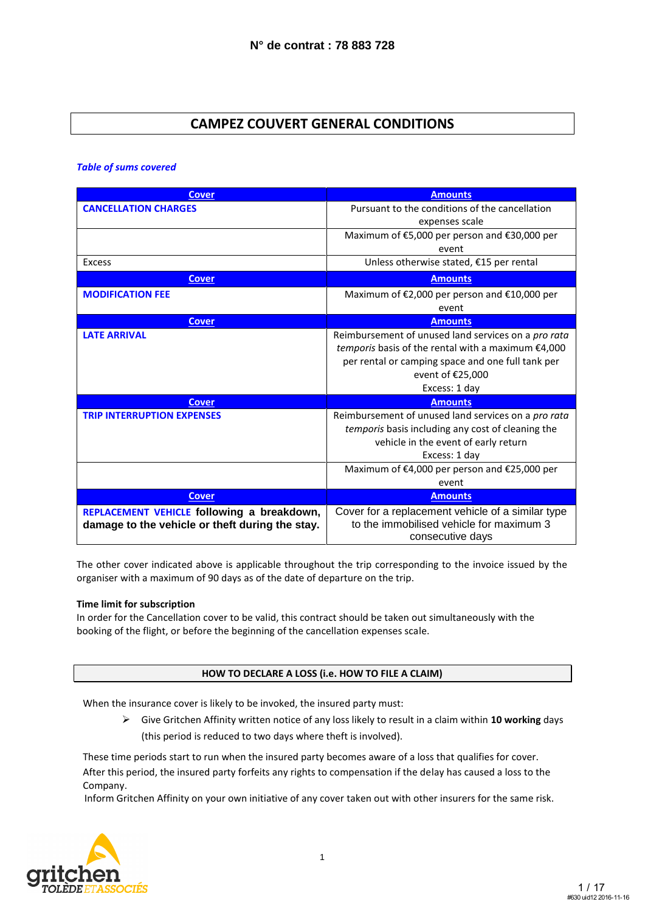### **CAMPEZ COUVERT GENERAL CONDITIONS**

*Table of sums covered*

| <b>Cover</b>                                    | <b>Amounts</b>                                      |
|-------------------------------------------------|-----------------------------------------------------|
| <b>CANCELLATION CHARGES</b>                     | Pursuant to the conditions of the cancellation      |
|                                                 | expenses scale                                      |
|                                                 | Maximum of €5,000 per person and €30,000 per        |
|                                                 | event                                               |
| Excess                                          | Unless otherwise stated, €15 per rental             |
| <b>Cover</b>                                    | <b>Amounts</b>                                      |
| <b>MODIFICATION FEE</b>                         | Maximum of €2,000 per person and €10,000 per        |
|                                                 | event                                               |
| <b>Cover</b>                                    | <b>Amounts</b>                                      |
| <b>LATE ARRIVAL</b>                             | Reimbursement of unused land services on a pro rata |
|                                                 | temporis basis of the rental with a maximum €4,000  |
|                                                 | per rental or camping space and one full tank per   |
|                                                 | event of €25,000                                    |
|                                                 | Excess: 1 day                                       |
| <b>Cover</b>                                    | <b>Amounts</b>                                      |
| <b>TRIP INTERRUPTION EXPENSES</b>               | Reimbursement of unused land services on a pro rata |
|                                                 | temporis basis including any cost of cleaning the   |
|                                                 | vehicle in the event of early return                |
|                                                 | Excess: 1 day                                       |
|                                                 | Maximum of €4,000 per person and €25,000 per        |
|                                                 | event                                               |
| <b>Cover</b>                                    | <b>Amounts</b>                                      |
| REPLACEMENT VEHICLE following a breakdown,      | Cover for a replacement vehicle of a similar type   |
| damage to the vehicle or theft during the stay. | to the immobilised vehicle for maximum 3            |
|                                                 | consecutive days                                    |

The other cover indicated above is applicable throughout the trip corresponding to the invoice issued by the organiser with a maximum of 90 days as of the date of departure on the trip.

#### **Time limit for subscription**

In order for the Cancellation cover to be valid, this contract should be taken out simultaneously with the booking of the flight, or before the beginning of the cancellation expenses scale.

#### **HOW TO DECLARE A LOSS (i.e. HOW TO FILE A CLAIM)**

When the insurance cover is likely to be invoked, the insured party must:

 Give Gritchen Affinity written notice of any loss likely to result in a claim within **10 working** days (this period is reduced to two days where theft is involved).

These time periods start to run when the insured party becomes aware of a loss that qualifies for cover. After this period, the insured party forfeits any rights to compensation if the delay has caused a loss to the Company.

Inform Gritchen Affinity on your own initiative of any cover taken out with other insurers for the same risk.

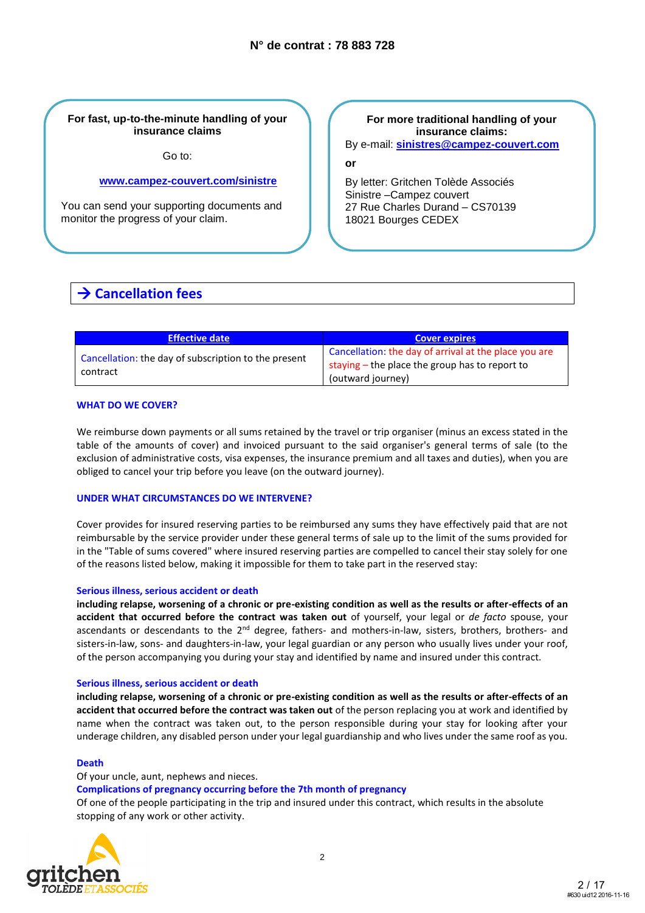#### **For fast, up-to-the-minute handling of your insurance claims**

Go to:

#### **[www.campez-couvert.com/sinistre](http://www.campez-couvert.com/sinistre)**

You can send your supporting documents and monitor the progress of your claim.

### **For more traditional handling of your insurance claims:**

By e-mail: **[sinistres@campez-couvert.com](mailto:sinistres@campez-couvert.com)**

**or**

By letter: Gritchen Tolède Associés Sinistre –Campez couvert 27 Rue Charles Durand – CS70139 18021 Bourges CEDEX

## **→ Cancellation fees**

| <b>Effective date</b>                                            | <b>Cover expires</b>                                                                                                         |
|------------------------------------------------------------------|------------------------------------------------------------------------------------------------------------------------------|
| Cancellation: the day of subscription to the present<br>contract | Cancellation: the day of arrival at the place you are<br>staying - the place the group has to report to<br>(outward journey) |

#### **WHAT DO WE COVER?**

We reimburse down payments or all sums retained by the travel or trip organiser (minus an excess stated in the table of the amounts of cover) and invoiced pursuant to the said organiser's general terms of sale (to the exclusion of administrative costs, visa expenses, the insurance premium and all taxes and duties), when you are obliged to cancel your trip before you leave (on the outward journey).

#### **UNDER WHAT CIRCUMSTANCES DO WE INTERVENE?**

Cover provides for insured reserving parties to be reimbursed any sums they have effectively paid that are not reimbursable by the service provider under these general terms of sale up to the limit of the sums provided for in the "Table of sums covered" where insured reserving parties are compelled to cancel their stay solely for one of the reasons listed below, making it impossible for them to take part in the reserved stay:

#### **Serious illness, serious accident or death**

**including relapse, worsening of a chronic or pre-existing condition as well as the results or after-effects of an accident that occurred before the contract was taken out** of yourself, your legal or *de facto* spouse, your ascendants or descendants to the 2<sup>nd</sup> degree, fathers- and mothers-in-law, sisters, brothers, brothers- and sisters-in-law, sons- and daughters-in-law, your legal guardian or any person who usually lives under your roof, of the person accompanying you during your stay and identified by name and insured under this contract.

#### **Serious illness, serious accident or death**

Of your uncle, aunt, nephews and nieces.

**including relapse, worsening of a chronic or pre-existing condition as well as the results or after-effects of an accident that occurred before the contract was taken out** of the person replacing you at work and identified by name when the contract was taken out, to the person responsible during your stay for looking after your underage children, any disabled person under your legal guardianship and who lives under the same roof as you.

#### **Death**

**Complications of pregnancy occurring before the 7th month of pregnancy** Of one of the people participating in the trip and insured under this contract, which results in the absolute stopping of any work or other activity.

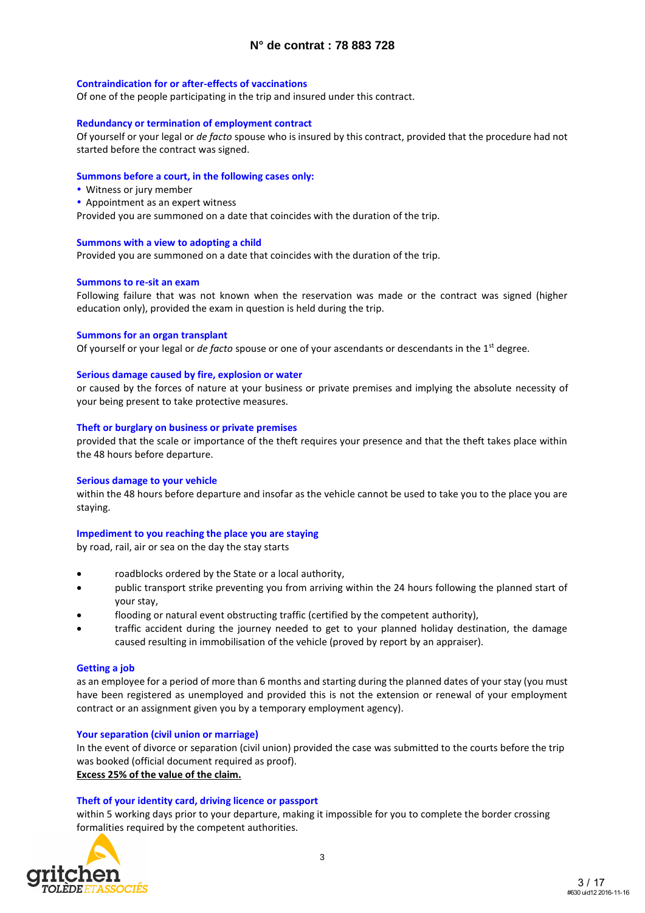#### **Contraindication for or after-effects of vaccinations**

Of one of the people participating in the trip and insured under this contract.

#### **Redundancy or termination of employment contract**

Of yourself or your legal or *de facto* spouse who is insured by this contract, provided that the procedure had not started before the contract was signed.

#### **Summons before a court, in the following cases only:**

- Witness or jury member
- Appointment as an expert witness

Provided you are summoned on a date that coincides with the duration of the trip.

#### **Summons with a view to adopting a child**

Provided you are summoned on a date that coincides with the duration of the trip.

#### **Summons to re-sit an exam**

Following failure that was not known when the reservation was made or the contract was signed (higher education only), provided the exam in question is held during the trip.

#### **Summons for an organ transplant**

Of yourself or your legal or *de facto* spouse or one of your ascendants or descendants in the 1st degree.

#### **Serious damage caused by fire, explosion or water**

or caused by the forces of nature at your business or private premises and implying the absolute necessity of your being present to take protective measures.

#### **Theft or burglary on business or private premises**

provided that the scale or importance of the theft requires your presence and that the theft takes place within the 48 hours before departure.

#### **Serious damage to your vehicle**

within the 48 hours before departure and insofar as the vehicle cannot be used to take you to the place you are staying.

#### **Impediment to you reaching the place you are staying**

by road, rail, air or sea on the day the stay starts

- roadblocks ordered by the State or a local authority,
- public transport strike preventing you from arriving within the 24 hours following the planned start of your stay,
- flooding or natural event obstructing traffic (certified by the competent authority),
- traffic accident during the journey needed to get to your planned holiday destination, the damage caused resulting in immobilisation of the vehicle (proved by report by an appraiser).

#### **Getting a job**

as an employee for a period of more than 6 months and starting during the planned dates of your stay (you must have been registered as unemployed and provided this is not the extension or renewal of your employment contract or an assignment given you by a temporary employment agency).

#### **Your separation (civil union or marriage)**

In the event of divorce or separation (civil union) provided the case was submitted to the courts before the trip was booked (official document required as proof). **Excess 25% of the value of the claim.**

#### **Theft of your identity card, driving licence or passport**

within 5 working days prior to your departure, making it impossible for you to complete the border crossing formalities required by the competent authorities.

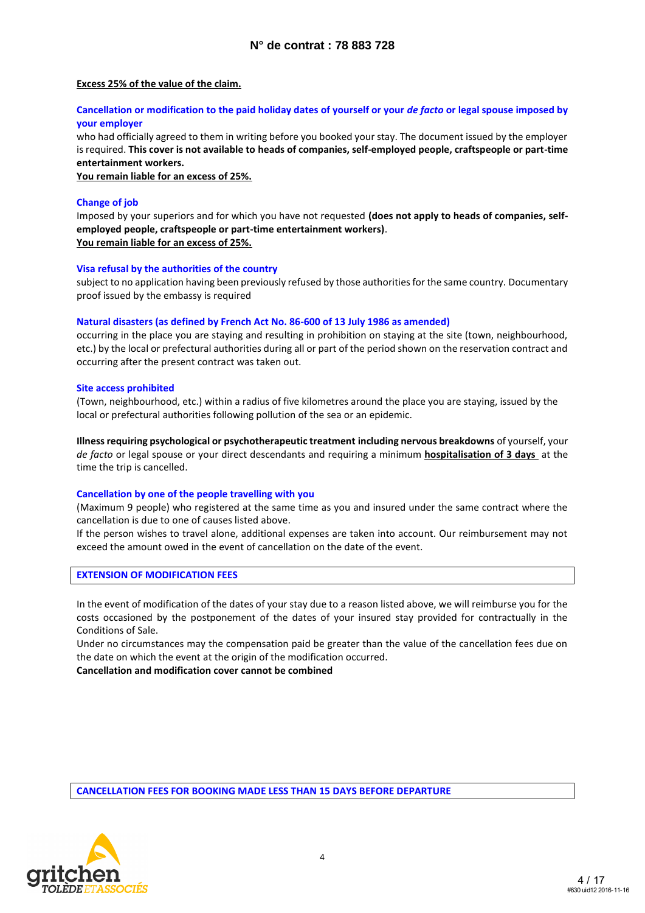#### **Excess 25% of the value of the claim.**

#### **Cancellation or modification to the paid holiday dates of yourself or your** *de facto* **or legal spouse imposed by your employer**

who had officially agreed to them in writing before you booked your stay. The document issued by the employer is required. **This cover is not available to heads of companies, self-employed people, craftspeople or part-time entertainment workers.**

**You remain liable for an excess of 25%.**

#### **Change of job**

Imposed by your superiors and for which you have not requested **(does not apply to heads of companies, selfemployed people, craftspeople or part-time entertainment workers)**. **You remain liable for an excess of 25%.**

#### **Visa refusal by the authorities of the country**

subject to no application having been previously refused by those authorities for the same country. Documentary proof issued by the embassy is required

#### **Natural disasters (as defined by French Act No. 86-600 of 13 July 1986 as amended)**

occurring in the place you are staying and resulting in prohibition on staying at the site (town, neighbourhood, etc.) by the local or prefectural authorities during all or part of the period shown on the reservation contract and occurring after the present contract was taken out.

#### **Site access prohibited**

(Town, neighbourhood, etc.) within a radius of five kilometres around the place you are staying, issued by the local or prefectural authorities following pollution of the sea or an epidemic.

**Illness requiring psychological or psychotherapeutic treatment including nervous breakdowns** of yourself, your *de facto* or legal spouse or your direct descendants and requiring a minimum **hospitalisation of 3 days** at the time the trip is cancelled.

#### **Cancellation by one of the people travelling with you**

(Maximum 9 people) who registered at the same time as you and insured under the same contract where the cancellation is due to one of causes listed above.

If the person wishes to travel alone, additional expenses are taken into account. Our reimbursement may not exceed the amount owed in the event of cancellation on the date of the event.

#### **EXTENSION OF MODIFICATION FEES**

In the event of modification of the dates of your stay due to a reason listed above, we will reimburse you for the costs occasioned by the postponement of the dates of your insured stay provided for contractually in the Conditions of Sale.

Under no circumstances may the compensation paid be greater than the value of the cancellation fees due on the date on which the event at the origin of the modification occurred.

**Cancellation and modification cover cannot be combined** 

**CANCELLATION FEES FOR BOOKING MADE LESS THAN 15 DAYS BEFORE DEPARTURE**

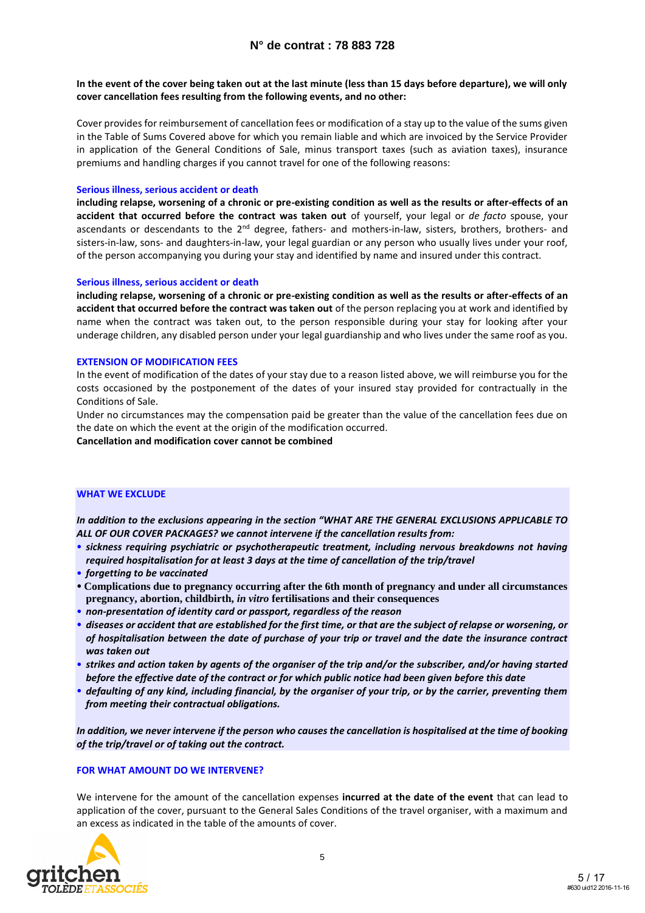#### **In the event of the cover being taken out at the last minute (less than 15 days before departure), we will only cover cancellation fees resulting from the following events, and no other:**

Cover provides for reimbursement of cancellation fees or modification of a stay up to the value of the sums given in the Table of Sums Covered above for which you remain liable and which are invoiced by the Service Provider in application of the General Conditions of Sale, minus transport taxes (such as aviation taxes), insurance premiums and handling charges if you cannot travel for one of the following reasons:

#### **Serious illness, serious accident or death**

**including relapse, worsening of a chronic or pre-existing condition as well as the results or after-effects of an accident that occurred before the contract was taken out** of yourself, your legal or *de facto* spouse, your ascendants or descendants to the 2<sup>nd</sup> degree, fathers- and mothers-in-law, sisters, brothers, brothers- and sisters-in-law, sons- and daughters-in-law, your legal guardian or any person who usually lives under your roof, of the person accompanying you during your stay and identified by name and insured under this contract.

#### **Serious illness, serious accident or death**

**including relapse, worsening of a chronic or pre-existing condition as well as the results or after-effects of an accident that occurred before the contract was taken out** of the person replacing you at work and identified by name when the contract was taken out, to the person responsible during your stay for looking after your underage children, any disabled person under your legal guardianship and who lives under the same roof as you.

#### **EXTENSION OF MODIFICATION FEES**

In the event of modification of the dates of your stay due to a reason listed above, we will reimburse you for the costs occasioned by the postponement of the dates of your insured stay provided for contractually in the Conditions of Sale.

Under no circumstances may the compensation paid be greater than the value of the cancellation fees due on the date on which the event at the origin of the modification occurred.

**Cancellation and modification cover cannot be combined**

#### **WHAT WE EXCLUDE**

*In addition to the exclusions appearing in the section "WHAT ARE THE GENERAL EXCLUSIONS APPLICABLE TO ALL OF OUR COVER PACKAGES? we cannot intervene if the cancellation results from:*

- *sickness requiring psychiatric or psychotherapeutic treatment, including nervous breakdowns not having required hospitalisation for at least 3 days at the time of cancellation of the trip/travel*
- *forgetting to be vaccinated*
- **Complications due to pregnancy occurring after the 6th month of pregnancy and under all circumstances pregnancy, abortion, childbirth,** *in vitro* **fertilisations and their consequences**
- *non-presentation of identity card or passport, regardless of the reason*
- *diseases or accident that are established for the first time, or that are the subject of relapse or worsening, or of hospitalisation between the date of purchase of your trip or travel and the date the insurance contract was taken out*
- *strikes and action taken by agents of the organiser of the trip and/or the subscriber, and/or having started before the effective date of the contract or for which public notice had been given before this date*
- *defaulting of any kind, including financial, by the organiser of your trip, or by the carrier, preventing them from meeting their contractual obligations.*

*In addition, we never intervene if the person who causes the cancellation is hospitalised at the time of booking of the trip/travel or of taking out the contract.*

#### **FOR WHAT AMOUNT DO WE INTERVENE?**

We intervene for the amount of the cancellation expenses **incurred at the date of the event** that can lead to application of the cover, pursuant to the General Sales Conditions of the travel organiser, with a maximum and an excess as indicated in the table of the amounts of cover.

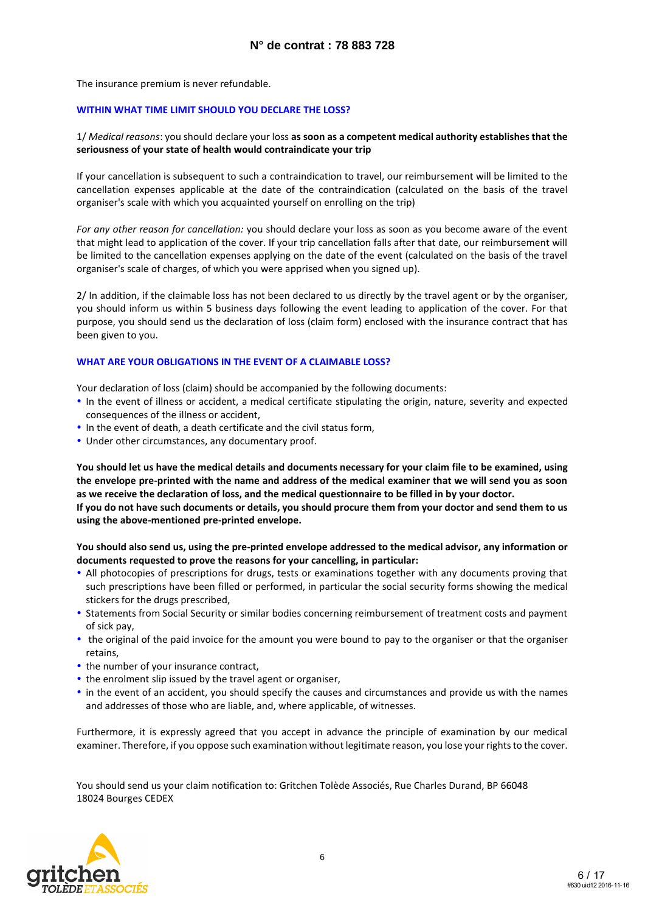The insurance premium is never refundable.

#### **WITHIN WHAT TIME LIMIT SHOULD YOU DECLARE THE LOSS?**

#### 1/ *Medical reasons*: you should declare your loss **as soon as a competent medical authority establishes that the seriousness of your state of health would contraindicate your trip**

If your cancellation is subsequent to such a contraindication to travel, our reimbursement will be limited to the cancellation expenses applicable at the date of the contraindication (calculated on the basis of the travel organiser's scale with which you acquainted yourself on enrolling on the trip)

*For any other reason for cancellation:* you should declare your loss as soon as you become aware of the event that might lead to application of the cover. If your trip cancellation falls after that date, our reimbursement will be limited to the cancellation expenses applying on the date of the event (calculated on the basis of the travel organiser's scale of charges, of which you were apprised when you signed up).

2/ In addition, if the claimable loss has not been declared to us directly by the travel agent or by the organiser, you should inform us within 5 business days following the event leading to application of the cover. For that purpose, you should send us the declaration of loss (claim form) enclosed with the insurance contract that has been given to you.

#### **WHAT ARE YOUR OBLIGATIONS IN THE EVENT OF A CLAIMABLE LOSS?**

Your declaration of loss (claim) should be accompanied by the following documents:

- In the event of illness or accident, a medical certificate stipulating the origin, nature, severity and expected consequences of the illness or accident,
- In the event of death, a death certificate and the civil status form,
- Under other circumstances, any documentary proof.

**You should let us have the medical details and documents necessary for your claim file to be examined, using the envelope pre-printed with the name and address of the medical examiner that we will send you as soon as we receive the declaration of loss, and the medical questionnaire to be filled in by your doctor. If you do not have such documents or details, you should procure them from your doctor and send them to us using the above-mentioned pre-printed envelope.**

#### **You should also send us, using the pre-printed envelope addressed to the medical advisor, any information or documents requested to prove the reasons for your cancelling, in particular:**

- All photocopies of prescriptions for drugs, tests or examinations together with any documents proving that such prescriptions have been filled or performed, in particular the social security forms showing the medical stickers for the drugs prescribed,
- Statements from Social Security or similar bodies concerning reimbursement of treatment costs and payment of sick pay,
- the original of the paid invoice for the amount you were bound to pay to the organiser or that the organiser retains,
- the number of your insurance contract,
- the enrolment slip issued by the travel agent or organiser,
- in the event of an accident, you should specify the causes and circumstances and provide us with the names and addresses of those who are liable, and, where applicable, of witnesses.

Furthermore, it is expressly agreed that you accept in advance the principle of examination by our medical examiner. Therefore, if you oppose such examination without legitimate reason, you lose your rights to the cover.

You should send us your claim notification to: Gritchen Tolède Associés, Rue Charles Durand, BP 66048 18024 Bourges CEDEX

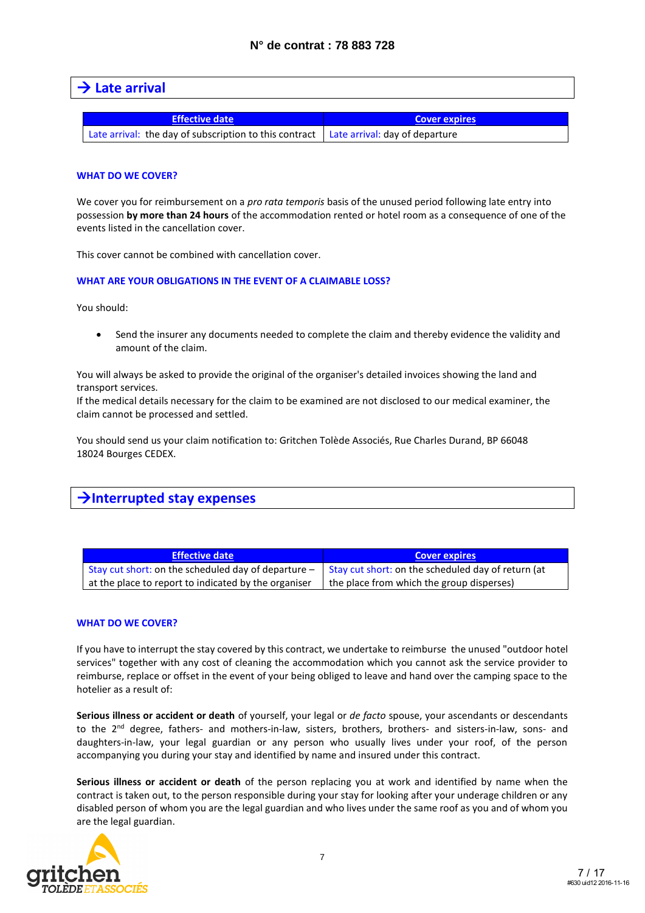### **Late arrival**

| Effective date                                                                        | <b>Cover expires</b> |
|---------------------------------------------------------------------------------------|----------------------|
| Late arrival: the day of subscription to this contract Late arrival: day of departure |                      |

#### **WHAT DO WE COVER?**

We cover you for reimbursement on a *pro rata temporis* basis of the unused period following late entry into possession **by more than 24 hours** of the accommodation rented or hotel room as a consequence of one of the events listed in the cancellation cover.

This cover cannot be combined with cancellation cover.

#### **WHAT ARE YOUR OBLIGATIONS IN THE EVENT OF A CLAIMABLE LOSS?**

You should:

 Send the insurer any documents needed to complete the claim and thereby evidence the validity and amount of the claim.

You will always be asked to provide the original of the organiser's detailed invoices showing the land and transport services.

If the medical details necessary for the claim to be examined are not disclosed to our medical examiner, the claim cannot be processed and settled.

You should send us your claim notification to: Gritchen Tolède Associés, Rue Charles Durand, BP 66048 18024 Bourges CEDEX.

### **Interrupted stay expenses**

| <b>Effective date</b>                                 | <b>Cover expires</b>                               |
|-------------------------------------------------------|----------------------------------------------------|
| Stay cut short: on the scheduled day of departure $-$ | Stay cut short: on the scheduled day of return (at |
| at the place to report to indicated by the organiser  | the place from which the group disperses)          |

#### **WHAT DO WE COVER?**

If you have to interrupt the stay covered by this contract, we undertake to reimburse the unused "outdoor hotel services" together with any cost of cleaning the accommodation which you cannot ask the service provider to reimburse, replace or offset in the event of your being obliged to leave and hand over the camping space to the hotelier as a result of:

**Serious illness or accident or death** of yourself, your legal or *de facto* spouse, your ascendants or descendants to the 2<sup>nd</sup> degree, fathers- and mothers-in-law, sisters, brothers, brothers- and sisters-in-law, sons- and daughters-in-law, your legal guardian or any person who usually lives under your roof, of the person accompanying you during your stay and identified by name and insured under this contract.

**Serious illness or accident or death** of the person replacing you at work and identified by name when the contract is taken out, to the person responsible during your stay for looking after your underage children or any disabled person of whom you are the legal guardian and who lives under the same roof as you and of whom you are the legal guardian.

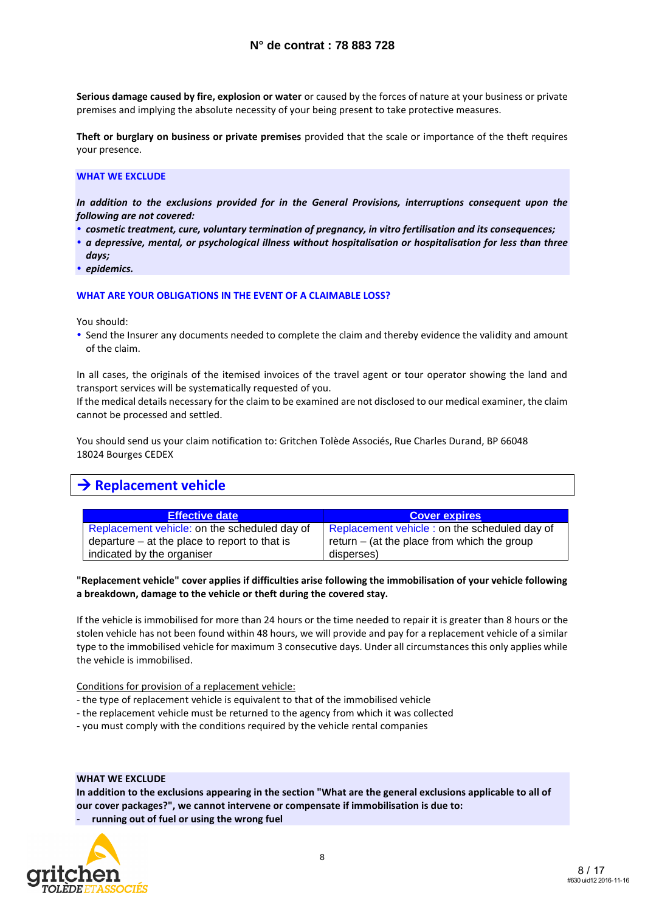**Serious damage caused by fire, explosion or water** or caused by the forces of nature at your business or private premises and implying the absolute necessity of your being present to take protective measures.

**Theft or burglary on business or private premises** provided that the scale or importance of the theft requires your presence.

#### **WHAT WE EXCLUDE**

*In addition to the exclusions provided for in the General Provisions, interruptions consequent upon the following are not covered:*

- *cosmetic treatment, cure, voluntary termination of pregnancy, in vitro fertilisation and its consequences;*
- *a depressive, mental, or psychological illness without hospitalisation or hospitalisation for less than three days;*
- *epidemics.*

#### **WHAT ARE YOUR OBLIGATIONS IN THE EVENT OF A CLAIMABLE LOSS?**

You should:

 Send the Insurer any documents needed to complete the claim and thereby evidence the validity and amount of the claim.

In all cases, the originals of the itemised invoices of the travel agent or tour operator showing the land and transport services will be systematically requested of you.

If the medical details necessary for the claim to be examined are not disclosed to our medical examiner, the claim cannot be processed and settled.

You should send us your claim notification to: Gritchen Tolède Associés, Rue Charles Durand, BP 66048 18024 Bourges CEDEX

## **→ Replacement vehicle**

| <b>Effective date</b>                           | <b>Cover expires</b>                          |
|-------------------------------------------------|-----------------------------------------------|
| Replacement vehicle: on the scheduled day of    | Replacement vehicle : on the scheduled day of |
| departure $-$ at the place to report to that is | return $-$ (at the place from which the group |
| indicated by the organiser                      | disperses)                                    |

**"Replacement vehicle" cover applies if difficulties arise following the immobilisation of your vehicle following a breakdown, damage to the vehicle or theft during the covered stay.**

If the vehicle is immobilised for more than 24 hours or the time needed to repair it is greater than 8 hours or the stolen vehicle has not been found within 48 hours, we will provide and pay for a replacement vehicle of a similar type to the immobilised vehicle for maximum 3 consecutive days. Under all circumstances this only applies while the vehicle is immobilised.

Conditions for provision of a replacement vehicle:

- the type of replacement vehicle is equivalent to that of the immobilised vehicle
- the replacement vehicle must be returned to the agency from which it was collected
- you must comply with the conditions required by the vehicle rental companies

#### **WHAT WE EXCLUDE**

**In addition to the exclusions appearing in the section "What are the general exclusions applicable to all of our cover packages?", we cannot intervene or compensate if immobilisation is due to:**

running out of fuel or using the wrong fuel

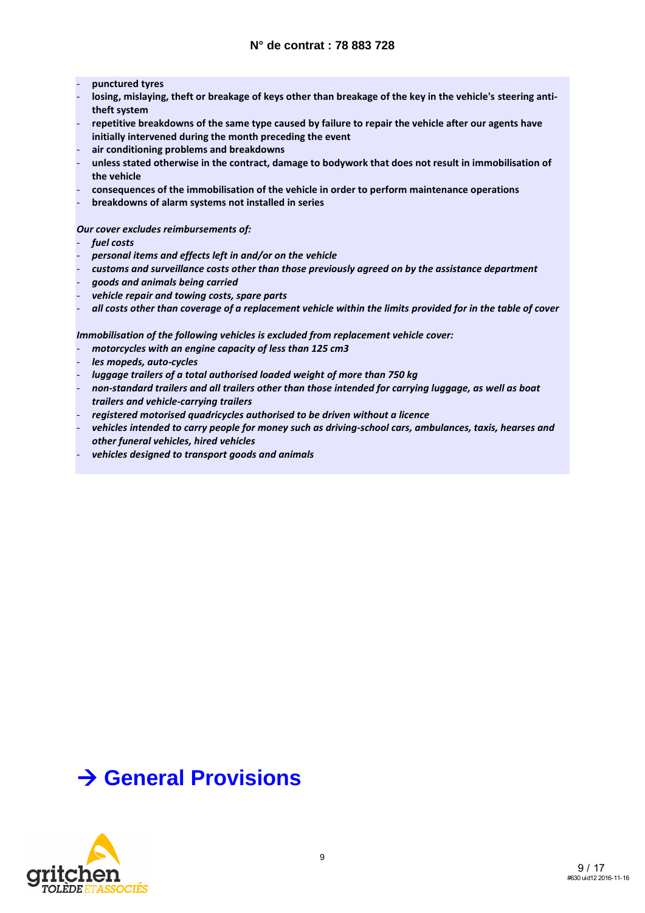- **punctured tyres**
- **losing, mislaying, theft or breakage of keys other than breakage of the key in the vehicle's steering antitheft system**
- repetitive breakdowns of the same type caused by failure to repair the vehicle after our agents have **initially intervened during the month preceding the event**
- **air conditioning problems and breakdowns**
- **unless stated otherwise in the contract, damage to bodywork that does not result in immobilisation of the vehicle**
- **consequences of the immobilisation of the vehicle in order to perform maintenance operations**
- **breakdowns of alarm systems not installed in series**

#### *Our cover excludes reimbursements of:*

- *fuel costs*
- *personal items and effects left in and/or on the vehicle*
- *customs and surveillance costs other than those previously agreed on by the assistance department*
- *goods and animals being carried*
- *vehicle repair and towing costs, spare parts*
- *all costs other than coverage of a replacement vehicle within the limits provided for in the table of cover*

*Immobilisation of the following vehicles is excluded from replacement vehicle cover:*

- motorcycles with an engine capacity of less than 125 cm3
- *les mopeds, auto-cycles*
- *luggage trailers of a total authorised loaded weight of more than 750 kg*
- *non-standard trailers and all trailers other than those intended for carrying luggage, as well as boat trailers and vehicle-carrying trailers*
- *registered motorised quadricycles authorised to be driven without a licence*
- *vehicles intended to carry people for money such as driving-school cars, ambulances, taxis, hearses and other funeral vehicles, hired vehicles*
- vehicles designed to transport goods and animals

# **General Provisions**

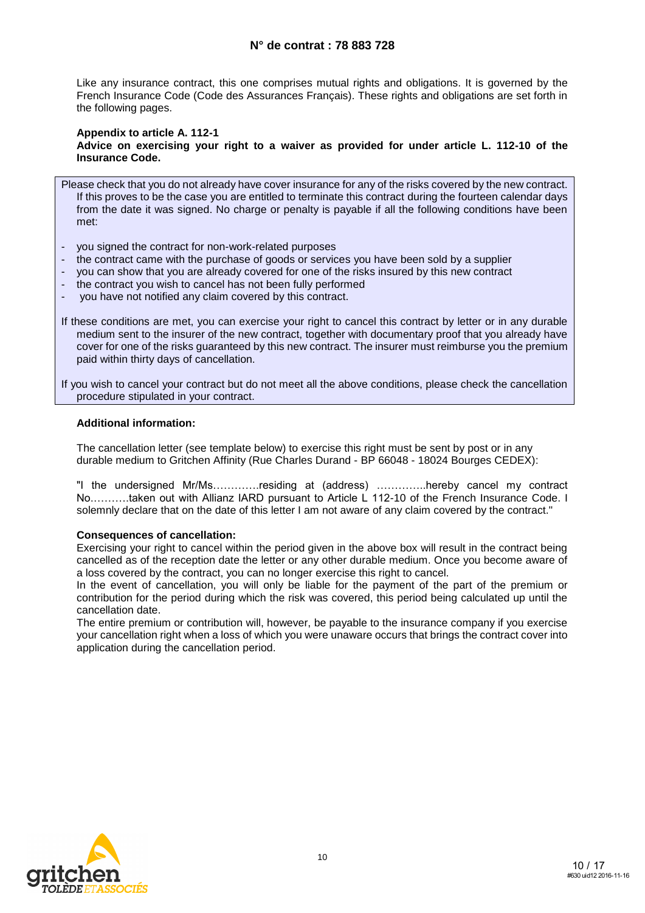### **N° de contrat : 78 883 728**

Like any insurance contract, this one comprises mutual rights and obligations. It is governed by the French Insurance Code (Code des Assurances Français). These rights and obligations are set forth in the following pages.

#### **Appendix to article A. 112-1**

**Advice on exercising your right to a waiver as provided for under article L. 112-10 of the Insurance Code.**

Please check that you do not already have cover insurance for any of the risks covered by the new contract. If this proves to be the case you are entitled to terminate this contract during the fourteen calendar days from the date it was signed. No charge or penalty is payable if all the following conditions have been met:

- you signed the contract for non-work-related purposes
- the contract came with the purchase of goods or services you have been sold by a supplier
- you can show that you are already covered for one of the risks insured by this new contract
- the contract you wish to cancel has not been fully performed
- you have not notified any claim covered by this contract.
- If these conditions are met, you can exercise your right to cancel this contract by letter or in any durable medium sent to the insurer of the new contract, together with documentary proof that you already have cover for one of the risks guaranteed by this new contract. The insurer must reimburse you the premium paid within thirty days of cancellation.

If you wish to cancel your contract but do not meet all the above conditions, please check the cancellation procedure stipulated in your contract.

#### **Additional information:**

The cancellation letter (see template below) to exercise this right must be sent by post or in any durable medium to Gritchen Affinity (Rue Charles Durand - BP 66048 - 18024 Bourges CEDEX):

"I the undersigned Mr/Ms………….residing at (address) …………..hereby cancel my contract No.……….taken out with Allianz IARD pursuant to Article L 112-10 of the French Insurance Code. I solemnly declare that on the date of this letter I am not aware of any claim covered by the contract."

#### **Consequences of cancellation:**

Exercising your right to cancel within the period given in the above box will result in the contract being cancelled as of the reception date the letter or any other durable medium. Once you become aware of a loss covered by the contract, you can no longer exercise this right to cancel.

In the event of cancellation, you will only be liable for the payment of the part of the premium or contribution for the period during which the risk was covered, this period being calculated up until the cancellation date.

The entire premium or contribution will, however, be payable to the insurance company if you exercise your cancellation right when a loss of which you were unaware occurs that brings the contract cover into application during the cancellation period.

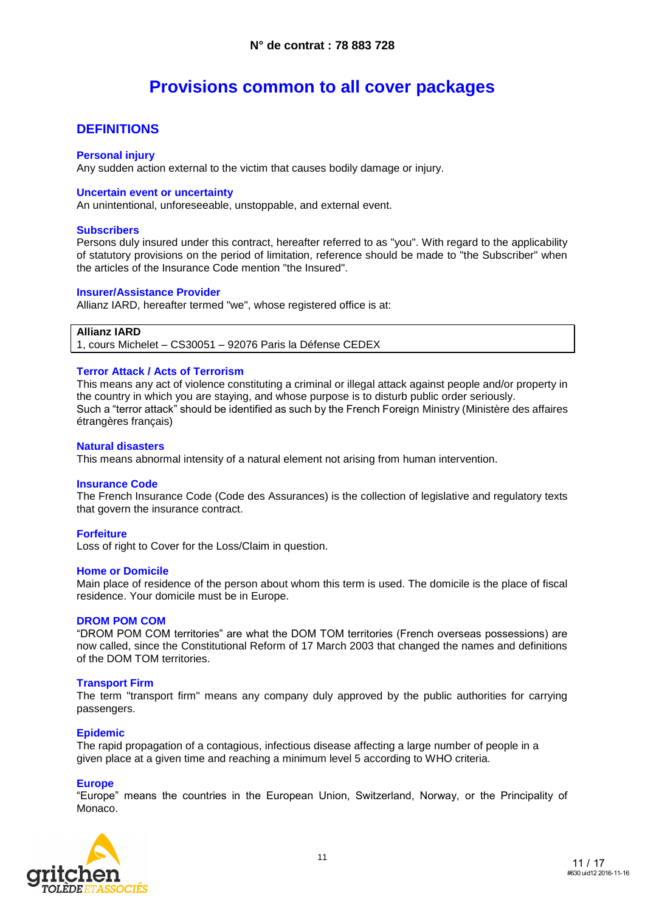# **Provisions common to all cover packages**

### **DEFINITIONS**

#### **Personal injury**

Any sudden action external to the victim that causes bodily damage or injury.

#### **Uncertain event or uncertainty**

An unintentional, unforeseeable, unstoppable, and external event.

#### **Subscribers**

Persons duly insured under this contract, hereafter referred to as "you". With regard to the applicability of statutory provisions on the period of limitation, reference should be made to "the Subscriber" when the articles of the Insurance Code mention "the Insured".

#### **Insurer/Assistance Provider**

Allianz IARD, hereafter termed "we", whose registered office is at:

#### **Allianz IARD**

1, cours Michelet – CS30051 – 92076 Paris la Défense CEDEX

#### **Terror Attack / Acts of Terrorism**

This means any act of violence constituting a criminal or illegal attack against people and/or property in the country in which you are staying, and whose purpose is to disturb public order seriously. Such a "terror attack" should be identified as such by the French Foreign Ministry (Ministère des affaires étrangères français)

#### **Natural disasters**

This means abnormal intensity of a natural element not arising from human intervention.

#### **Insurance Code**

The French Insurance Code (Code des Assurances) is the collection of legislative and regulatory texts that govern the insurance contract.

#### **Forfeiture**

Loss of right to Cover for the Loss/Claim in question.

#### **Home or Domicile**

Main place of residence of the person about whom this term is used. The domicile is the place of fiscal residence. Your domicile must be in Europe.

#### **DROM POM COM**

"DROM POM COM territories" are what the DOM TOM territories (French overseas possessions) are now called, since the Constitutional Reform of 17 March 2003 that changed the names and definitions of the DOM TOM territories.

#### **Transport Firm**

The term "transport firm" means any company duly approved by the public authorities for carrying passengers.

#### **Epidemic**

The rapid propagation of a contagious, infectious disease affecting a large number of people in a given place at a given time and reaching a minimum level 5 according to WHO criteria.

#### **Europe**

"Europe" means the countries in the European Union, Switzerland, Norway, or the Principality of Monaco.

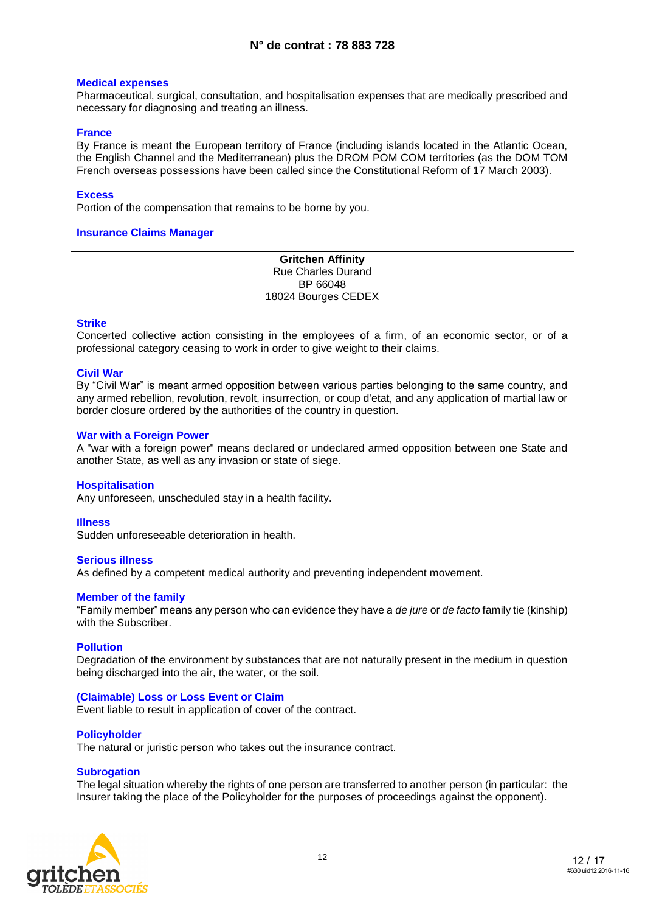#### **Medical expenses**

Pharmaceutical, surgical, consultation, and hospitalisation expenses that are medically prescribed and necessary for diagnosing and treating an illness.

#### **France**

By France is meant the European territory of France (including islands located in the Atlantic Ocean, the English Channel and the Mediterranean) plus the DROM POM COM territories (as the DOM TOM French overseas possessions have been called since the Constitutional Reform of 17 March 2003).

#### **Excess**

Portion of the compensation that remains to be borne by you.

#### **Insurance Claims Manager**

| <b>Gritchen Affinity</b>  |
|---------------------------|
| <b>Rue Charles Durand</b> |
| BP 66048                  |
| 18024 Bourges CEDEX       |

#### **Strike**

Concerted collective action consisting in the employees of a firm, of an economic sector, or of a professional category ceasing to work in order to give weight to their claims.

#### **Civil War**

By "Civil War" is meant armed opposition between various parties belonging to the same country, and any armed rebellion, revolution, revolt, insurrection, or coup d'etat, and any application of martial law or border closure ordered by the authorities of the country in question.

#### **War with a Foreign Power**

A "war with a foreign power" means declared or undeclared armed opposition between one State and another State, as well as any invasion or state of siege.

#### **Hospitalisation**

Any unforeseen, unscheduled stay in a health facility.

#### **Illness**

Sudden unforeseeable deterioration in health.

#### **Serious illness**

As defined by a competent medical authority and preventing independent movement.

#### **Member of the family**

"Family member" means any person who can evidence they have a *de jure* or *de facto* family tie (kinship) with the Subscriber.

#### **Pollution**

Degradation of the environment by substances that are not naturally present in the medium in question being discharged into the air, the water, or the soil.

#### **(Claimable) Loss or Loss Event or Claim**

Event liable to result in application of cover of the contract.

#### **Policyholder**

The natural or juristic person who takes out the insurance contract.

#### **Subrogation**

The legal situation whereby the rights of one person are transferred to another person (in particular: the Insurer taking the place of the Policyholder for the purposes of proceedings against the opponent).

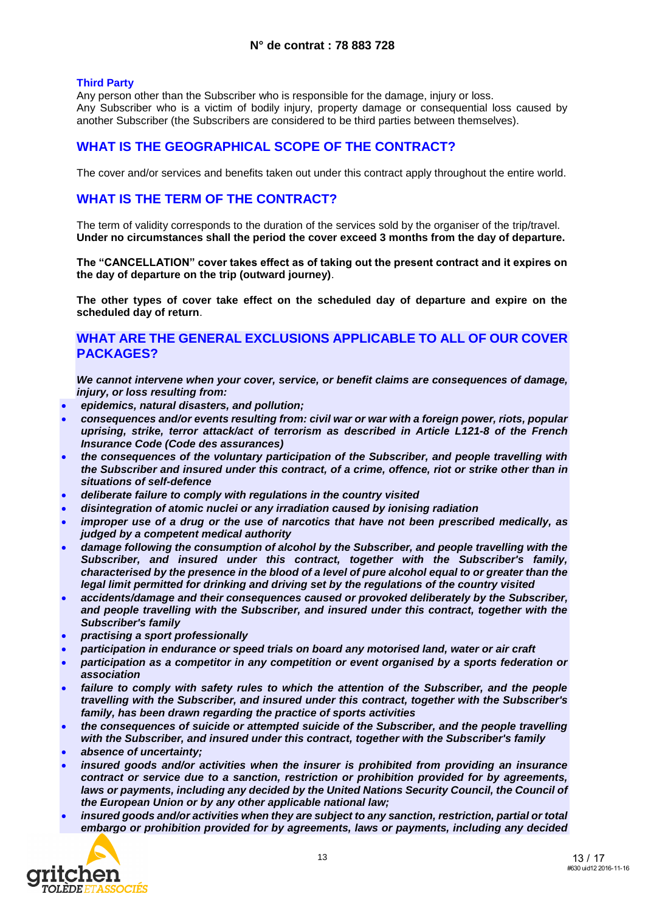#### **Third Party**

Any person other than the Subscriber who is responsible for the damage, injury or loss. Any Subscriber who is a victim of bodily injury, property damage or consequential loss caused by another Subscriber (the Subscribers are considered to be third parties between themselves).

### **WHAT IS THE GEOGRAPHICAL SCOPE OF THE CONTRACT?**

The cover and/or services and benefits taken out under this contract apply throughout the entire world.

### **WHAT IS THE TERM OF THE CONTRACT?**

The term of validity corresponds to the duration of the services sold by the organiser of the trip/travel. **Under no circumstances shall the period the cover exceed 3 months from the day of departure.**

**The "CANCELLATION" cover takes effect as of taking out the present contract and it expires on the day of departure on the trip (outward journey)**.

**The other types of cover take effect on the scheduled day of departure and expire on the scheduled day of return**.

### **WHAT ARE THE GENERAL EXCLUSIONS APPLICABLE TO ALL OF OUR COVER PACKAGES?**

*We cannot intervene when your cover, service, or benefit claims are consequences of damage, injury, or loss resulting from:*

- *epidemics, natural disasters, and pollution;*
- *consequences and/or events resulting from: civil war or war with a foreign power, riots, popular uprising, strike, terror attack/act of terrorism as described in Article L121-8 of the French Insurance Code (Code des assurances)*
- *the consequences of the voluntary participation of the Subscriber, and people travelling with the Subscriber and insured under this contract, of a crime, offence, riot or strike other than in situations of self-defence*
- *deliberate failure to comply with regulations in the country visited*
- *disintegration of atomic nuclei or any irradiation caused by ionising radiation*
- *improper use of a drug or the use of narcotics that have not been prescribed medically, as judged by a competent medical authority*
- *damage following the consumption of alcohol by the Subscriber, and people travelling with the Subscriber, and insured under this contract, together with the Subscriber's family, characterised by the presence in the blood of a level of pure alcohol equal to or greater than the legal limit permitted for drinking and driving set by the regulations of the country visited*
- *accidents/damage and their consequences caused or provoked deliberately by the Subscriber, and people travelling with the Subscriber, and insured under this contract, together with the Subscriber's family*
- *practising a sport professionally*
- *participation in endurance or speed trials on board any motorised land, water or air craft*
- *participation as a competitor in any competition or event organised by a sports federation or association*
- *failure to comply with safety rules to which the attention of the Subscriber, and the people travelling with the Subscriber, and insured under this contract, together with the Subscriber's family, has been drawn regarding the practice of sports activities*
- *the consequences of suicide or attempted suicide of the Subscriber, and the people travelling with the Subscriber, and insured under this contract, together with the Subscriber's family*
- *absence of uncertainty;*
- *insured goods and/or activities when the insurer is prohibited from providing an insurance contract or service due to a sanction, restriction or prohibition provided for by agreements,*  laws or payments, including any decided by the United Nations Security Council, the Council of *the European Union or by any other applicable national law;*
- *insured goods and/or activities when they are subject to any sanction, restriction, partial or total embargo or prohibition provided for by agreements, laws or payments, including any decided*

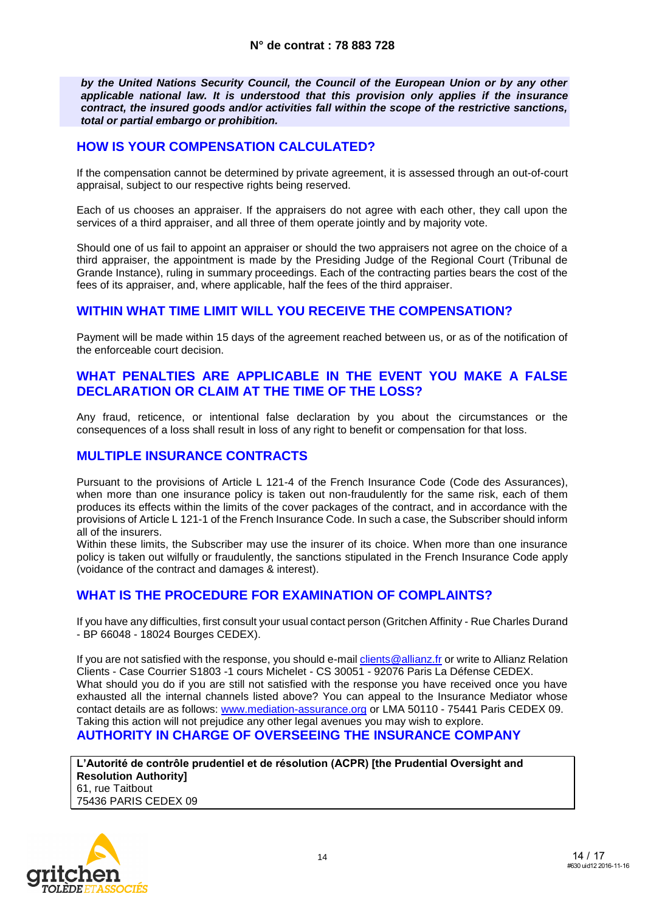*by the United Nations Security Council, the Council of the European Union or by any other applicable national law. It is understood that this provision only applies if the insurance contract, the insured goods and/or activities fall within the scope of the restrictive sanctions, total or partial embargo or prohibition.*

### **HOW IS YOUR COMPENSATION CALCULATED?**

If the compensation cannot be determined by private agreement, it is assessed through an out-of-court appraisal, subject to our respective rights being reserved.

Each of us chooses an appraiser. If the appraisers do not agree with each other, they call upon the services of a third appraiser, and all three of them operate jointly and by majority vote.

Should one of us fail to appoint an appraiser or should the two appraisers not agree on the choice of a third appraiser, the appointment is made by the Presiding Judge of the Regional Court (Tribunal de Grande Instance), ruling in summary proceedings. Each of the contracting parties bears the cost of the fees of its appraiser, and, where applicable, half the fees of the third appraiser.

### **WITHIN WHAT TIME LIMIT WILL YOU RECEIVE THE COMPENSATION?**

Payment will be made within 15 days of the agreement reached between us, or as of the notification of the enforceable court decision.

### **WHAT PENALTIES ARE APPLICABLE IN THE EVENT YOU MAKE A FALSE DECLARATION OR CLAIM AT THE TIME OF THE LOSS?**

Any fraud, reticence, or intentional false declaration by you about the circumstances or the consequences of a loss shall result in loss of any right to benefit or compensation for that loss.

### **MULTIPLE INSURANCE CONTRACTS**

Pursuant to the provisions of Article L 121-4 of the French Insurance Code (Code des Assurances), when more than one insurance policy is taken out non-fraudulently for the same risk, each of them produces its effects within the limits of the cover packages of the contract, and in accordance with the provisions of Article L 121-1 of the French Insurance Code. In such a case, the Subscriber should inform all of the insurers.

Within these limits, the Subscriber may use the insurer of its choice. When more than one insurance policy is taken out wilfully or fraudulently, the sanctions stipulated in the French Insurance Code apply (voidance of the contract and damages & interest).

### **WHAT IS THE PROCEDURE FOR EXAMINATION OF COMPLAINTS?**

If you have any difficulties, first consult your usual contact person (Gritchen Affinity - Rue Charles Durand - BP 66048 - 18024 Bourges CEDEX).

If you are not satisfied with the response, you should e-mail clients @allianz.fr or write to Allianz Relation Clients - Case Courrier S1803 -1 cours Michelet - CS 30051 - 92076 Paris La Défense CEDEX. What should you do if you are still not satisfied with the response you have received once you have exhausted all the internal channels listed above? You can appeal to the Insurance Mediator whose contact details are as follows: [www.mediation-assurance.org](http://www.mediation-assurance.org/) or LMA 50110 - 75441 Paris CEDEX 09. Taking this action will not prejudice any other legal avenues you may wish to explore. **AUTHORITY IN CHARGE OF OVERSEEING THE INSURANCE COMPANY**

**L'Autorité de contrôle prudentiel et de résolution (ACPR) [the Prudential Oversight and Resolution Authority]** 61, rue Taitbout 75436 PARIS CEDEX 09

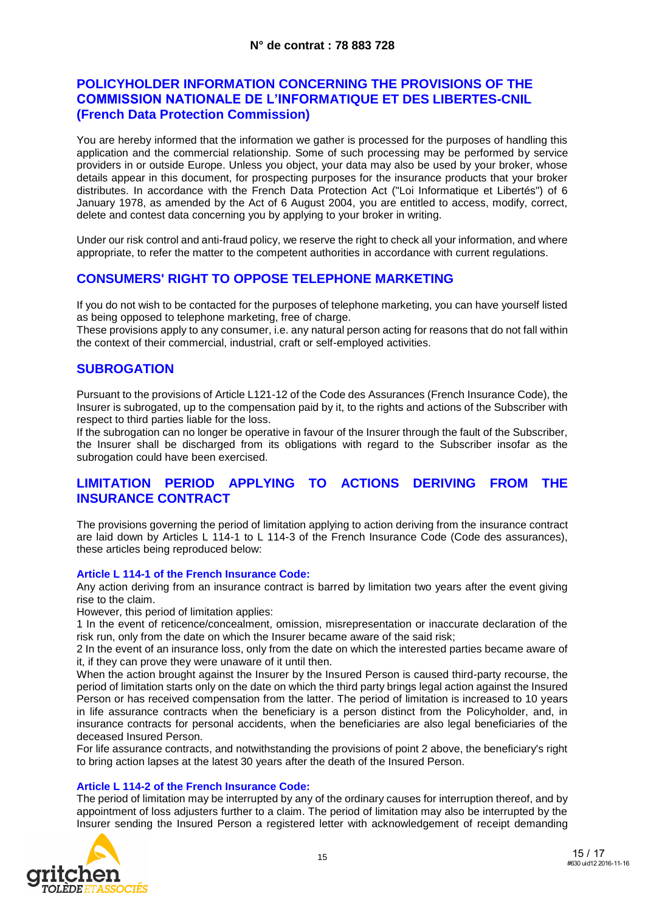### **POLICYHOLDER INFORMATION CONCERNING THE PROVISIONS OF THE COMMISSION NATIONALE DE L'INFORMATIQUE ET DES LIBERTES-CNIL (French Data Protection Commission)**

You are hereby informed that the information we gather is processed for the purposes of handling this application and the commercial relationship. Some of such processing may be performed by service providers in or outside Europe. Unless you object, your data may also be used by your broker, whose details appear in this document, for prospecting purposes for the insurance products that your broker distributes. In accordance with the French Data Protection Act ("Loi Informatique et Libertés") of 6 January 1978, as amended by the Act of 6 August 2004, you are entitled to access, modify, correct, delete and contest data concerning you by applying to your broker in writing.

Under our risk control and anti-fraud policy, we reserve the right to check all your information, and where appropriate, to refer the matter to the competent authorities in accordance with current regulations.

### **CONSUMERS' RIGHT TO OPPOSE TELEPHONE MARKETING**

If you do not wish to be contacted for the purposes of telephone marketing, you can have yourself listed as being opposed to telephone marketing, free of charge.

These provisions apply to any consumer, i.e. any natural person acting for reasons that do not fall within the context of their commercial, industrial, craft or self-employed activities.

### **SUBROGATION**

Pursuant to the provisions of Article L121-12 of the Code des Assurances (French Insurance Code), the Insurer is subrogated, up to the compensation paid by it, to the rights and actions of the Subscriber with respect to third parties liable for the loss.

If the subrogation can no longer be operative in favour of the Insurer through the fault of the Subscriber, the Insurer shall be discharged from its obligations with regard to the Subscriber insofar as the subrogation could have been exercised.

### **LIMITATION PERIOD APPLYING TO ACTIONS DERIVING FROM THE INSURANCE CONTRACT**

The provisions governing the period of limitation applying to action deriving from the insurance contract are laid down by Articles L 114-1 to L 114-3 of the French Insurance Code (Code des assurances), these articles being reproduced below:

#### **Article L 114-1 of the French Insurance Code:**

Any action deriving from an insurance contract is barred by limitation two years after the event giving rise to the claim.

However, this period of limitation applies:

1 In the event of reticence/concealment, omission, misrepresentation or inaccurate declaration of the risk run, only from the date on which the Insurer became aware of the said risk;

2 In the event of an insurance loss, only from the date on which the interested parties became aware of it, if they can prove they were unaware of it until then.

When the action brought against the Insurer by the Insured Person is caused third-party recourse, the period of limitation starts only on the date on which the third party brings legal action against the Insured Person or has received compensation from the latter. The period of limitation is increased to 10 years in life assurance contracts when the beneficiary is a person distinct from the Policyholder, and, in insurance contracts for personal accidents, when the beneficiaries are also legal beneficiaries of the deceased Insured Person.

For life assurance contracts, and notwithstanding the provisions of point 2 above, the beneficiary's right to bring action lapses at the latest 30 years after the death of the Insured Person.

#### **Article L 114-2 of the French Insurance Code:**

The period of limitation may be interrupted by any of the ordinary causes for interruption thereof, and by appointment of loss adjusters further to a claim. The period of limitation may also be interrupted by the Insurer sending the Insured Person a registered letter with acknowledgement of receipt demanding

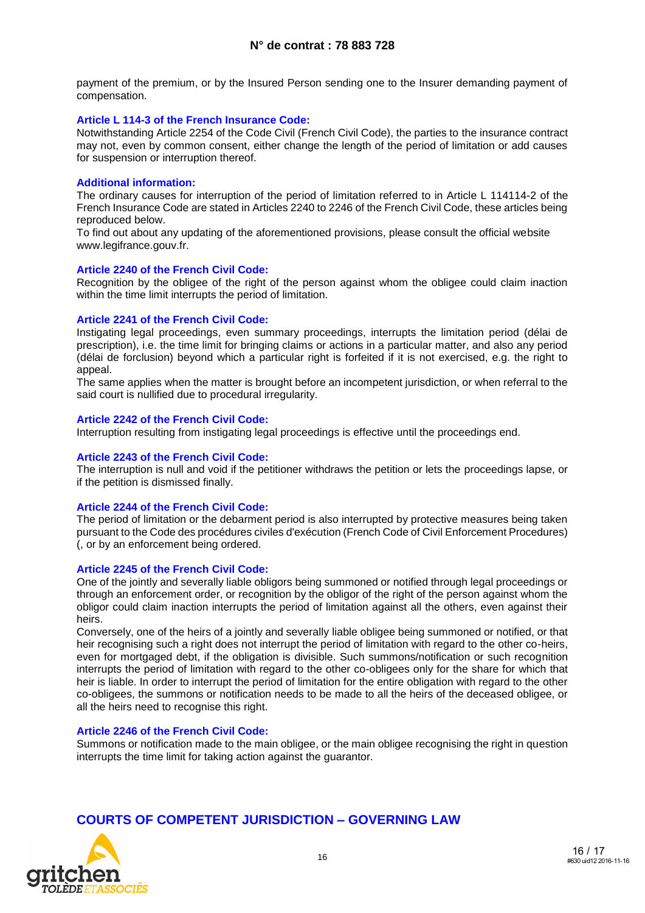payment of the premium, or by the Insured Person sending one to the Insurer demanding payment of compensation.

#### **Article L 114-3 of the French Insurance Code:**

Notwithstanding Article 2254 of the Code Civil (French Civil Code), the parties to the insurance contract may not, even by common consent, either change the length of the period of limitation or add causes for suspension or interruption thereof.

### **Additional information:**

The ordinary causes for interruption of the period of limitation referred to in Article L 114114-2 of the French Insurance Code are stated in Articles 2240 to 2246 of the French Civil Code, these articles being reproduced below.

To find out about any updating of the aforementioned provisions, please consult the official website www.legifrance.gouv.fr.

### **Article 2240 of the French Civil Code:**

Recognition by the obligee of the right of the person against whom the obligee could claim inaction within the time limit interrupts the period of limitation.

#### **Article 2241 of the French Civil Code:**

Instigating legal proceedings, even summary proceedings, interrupts the limitation period (délai de prescription), i.e. the time limit for bringing claims or actions in a particular matter, and also any period (délai de forclusion) beyond which a particular right is forfeited if it is not exercised, e.g. the right to appeal.

The same applies when the matter is brought before an incompetent jurisdiction, or when referral to the said court is nullified due to procedural irregularity.

#### **Article 2242 of the French Civil Code:**

Interruption resulting from instigating legal proceedings is effective until the proceedings end.

#### **Article 2243 of the French Civil Code:**

The interruption is null and void if the petitioner withdraws the petition or lets the proceedings lapse, or if the petition is dismissed finally.

#### **Article 2244 of the French Civil Code:**

The period of limitation or the debarment period is also interrupted by protective measures being taken pursuant to the Code des procédures civiles d'exécution (French Code of Civil Enforcement Procedures) (, or by an enforcement being ordered.

#### **Article 2245 of the French Civil Code:**

One of the jointly and severally liable obligors being summoned or notified through legal proceedings or through an enforcement order, or recognition by the obligor of the right of the person against whom the obligor could claim inaction interrupts the period of limitation against all the others, even against their heirs.

Conversely, one of the heirs of a jointly and severally liable obligee being summoned or notified, or that heir recognising such a right does not interrupt the period of limitation with regard to the other co-heirs, even for mortgaged debt, if the obligation is divisible. Such summons/notification or such recognition interrupts the period of limitation with regard to the other co-obligees only for the share for which that heir is liable. In order to interrupt the period of limitation for the entire obligation with regard to the other co-obligees, the summons or notification needs to be made to all the heirs of the deceased obligee, or all the heirs need to recognise this right.

#### **Article 2246 of the French Civil Code:**

Summons or notification made to the main obligee, or the main obligee recognising the right in question interrupts the time limit for taking action against the guarantor.

### **COURTS OF COMPETENT JURISDICTION – GOVERNING LAW**